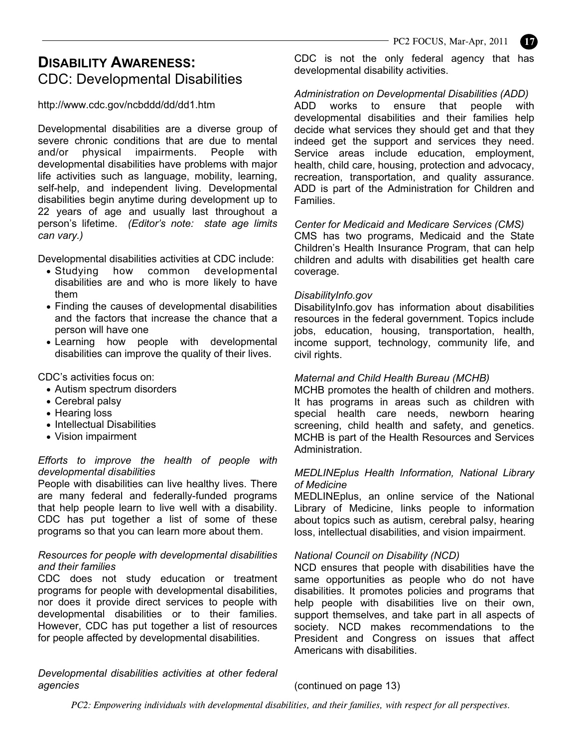# **DISABILITY AWARENESS:** CDC: Developmental Disabilities

http://www.cdc.gov/ncbddd/dd/dd1.htm

Developmental disabilities are a diverse group of severe chronic conditions that are due to mental and/or physical impairments. People with developmental disabilities have problems with major life activities such as language, mobility, learning, self-help, and independent living. Developmental disabilities begin anytime during development up to 22 years of age and usually last throughout a person's lifetime. *(Editor's note: state age limits can vary.)* 

Developmental disabilities activities at CDC include:

- Studying how common developmental disabilities are and who is more likely to have them
- Finding the causes of developmental disabilities and the factors that increase the chance that a person will have one
- Learning how people with developmental disabilities can improve the quality of their lives.

CDC's activities focus on:

- Autism spectrum disorders
- Cerebral palsy
- Hearing loss
- Intellectual Disabilities
- Vision impairment

## *Efforts to improve the health of people with developmental disabilities*

People with disabilities can live healthy lives. There are many federal and federally-funded programs that help people learn to live well with a disability. CDC has put together a list of some of these programs so that you can learn more about them.

# *Resources for people with developmental disabilities and their families*

CDC does not study education or treatment programs for people with developmental disabilities, nor does it provide direct services to people with developmental disabilities or to their families. However, CDC has put together a list of resources for people affected by developmental disabilities.

*Developmental disabilities activities at other federal agencies*

CDC is not the only federal agency that has developmental disability activities.

*Administration on Developmental Disabilities (ADD)* 

ADD works to ensure that people with developmental disabilities and their families help decide what services they should get and that they indeed get the support and services they need. Service areas include education, employment, health, child care, housing, protection and advocacy, recreation, transportation, and quality assurance. ADD is part of the Administration for Children and Families.

## *Center for Medicaid and Medicare Services (CMS)*

CMS has two programs, Medicaid and the State Children's Health Insurance Program, that can help children and adults with disabilities get health care coverage.

## *DisabilityInfo.gov*

DisabilityInfo.gov has information about disabilities resources in the federal government. Topics include jobs, education, housing, transportation, health, income support, technology, community life, and civil rights.

## *Maternal and Child Health Bureau (MCHB)*

MCHB promotes the health of children and mothers. It has programs in areas such as children with special health care needs, newborn hearing screening, child health and safety, and genetics. MCHB is part of the Health Resources and Services Administration.

## *MEDLINEplus Health Information, National Library of Medicine*

MEDLINEplus, an online service of the National Library of Medicine, links people to information about topics such as autism, cerebral palsy, hearing loss, intellectual disabilities, and vision impairment.

# *National Council on Disability (NCD)*

NCD ensures that people with disabilities have the same opportunities as people who do not have disabilities. It promotes policies and programs that help people with disabilities live on their own, support themselves, and take part in all aspects of society. NCD makes recommendations to the President and Congress on issues that affect Americans with disabilities.

# (continued on page 13)

*PC2: Empowering individuals with developmental disabilities, and their families, with respect for all perspectives.*